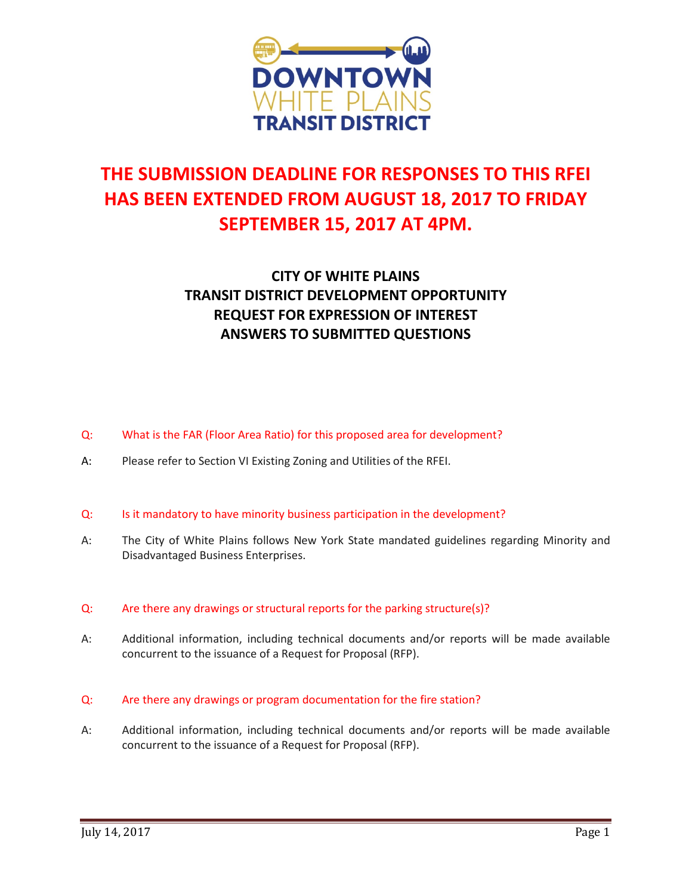

# **THE SUBMISSION DEADLINE FOR RESPONSES TO THIS RFEI HAS BEEN EXTENDED FROM AUGUST 18, 2017 TO FRIDAY SEPTEMBER 15, 2017 AT 4PM.**

# **CITY OF WHITE PLAINS TRANSIT DISTRICT DEVELOPMENT OPPORTUNITY REQUEST FOR EXPRESSION OF INTEREST ANSWERS TO SUBMITTED QUESTIONS**

- Q: What is the FAR (Floor Area Ratio) for this proposed area for development?
- A: Please refer to Section VI Existing Zoning and Utilities of the RFEI.

#### Q: Is it mandatory to have minority business participation in the development?

A: The City of White Plains follows New York State mandated guidelines regarding Minority and Disadvantaged Business Enterprises.

# Q: Are there any drawings or structural reports for the parking structure(s)?

A: Additional information, including technical documents and/or reports will be made available concurrent to the issuance of a Request for Proposal (RFP).

#### Q: Are there any drawings or program documentation for the fire station?

A: Additional information, including technical documents and/or reports will be made available concurrent to the issuance of a Request for Proposal (RFP).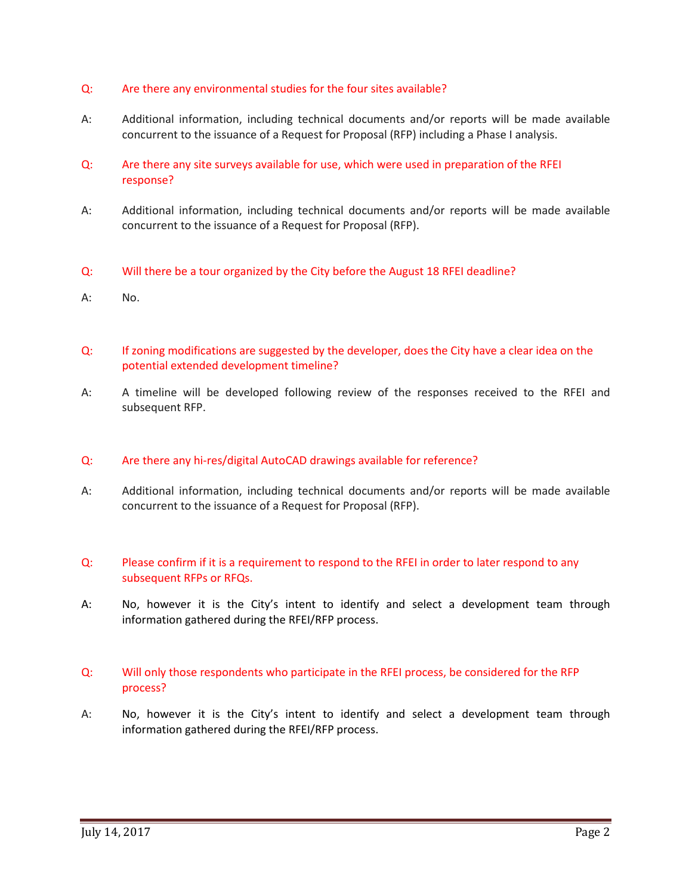#### Q: Are there any environmental studies for the four sites available?

- A: Additional information, including technical documents and/or reports will be made available concurrent to the issuance of a Request for Proposal (RFP) including a Phase I analysis.
- Q: Are there any site surveys available for use, which were used in preparation of the RFEI response?
- A: Additional information, including technical documents and/or reports will be made available concurrent to the issuance of a Request for Proposal (RFP).
- Q: Will there be a tour organized by the City before the August 18 RFEI deadline?
- A: No.
- Q: If zoning modifications are suggested by the developer, does the City have a clear idea on the potential extended development timeline?
- A: A timeline will be developed following review of the responses received to the RFEI and subsequent RFP.
- Q: Are there any hi-res/digital AutoCAD drawings available for reference?
- A: Additional information, including technical documents and/or reports will be made available concurrent to the issuance of a Request for Proposal (RFP).
- Q: Please confirm if it is a requirement to respond to the RFEI in order to later respond to any subsequent RFPs or RFQs.
- A: No, however it is the City's intent to identify and select a development team through information gathered during the RFEI/RFP process.
- Q: Will only those respondents who participate in the RFEI process, be considered for the RFP process?
- A: No, however it is the City's intent to identify and select a development team through information gathered during the RFEI/RFP process.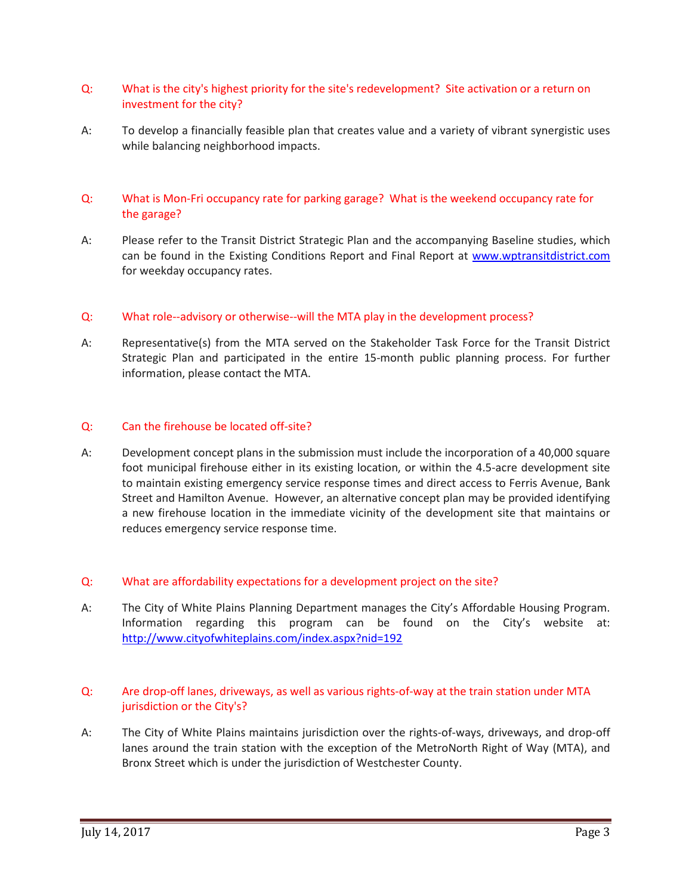# Q: What is the city's highest priority for the site's redevelopment? Site activation or a return on investment for the city?

A: To develop a financially feasible plan that creates value and a variety of vibrant synergistic uses while balancing neighborhood impacts.

# Q: What is Mon-Fri occupancy rate for parking garage? What is the weekend occupancy rate for the garage?

A: Please refer to the Transit District Strategic Plan and the accompanying Baseline studies, which can be found in the Existing Conditions Report and Final Report at [www.wptransitdistrict.com](http://www.wptransitdistrict.com/) for weekday occupancy rates.

#### Q: What role--advisory or otherwise--will the MTA play in the development process?

A: Representative(s) from the MTA served on the Stakeholder Task Force for the Transit District Strategic Plan and participated in the entire 15-month public planning process. For further information, please contact the MTA.

#### Q: Can the firehouse be located off-site?

A: Development concept plans in the submission must include the incorporation of a 40,000 square foot municipal firehouse either in its existing location, or within the 4.5-acre development site to maintain existing emergency service response times and direct access to Ferris Avenue, Bank Street and Hamilton Avenue. However, an alternative concept plan may be provided identifying a new firehouse location in the immediate vicinity of the development site that maintains or reduces emergency service response time.

#### Q: What are affordability expectations for a development project on the site?

A: The City of White Plains Planning Department manages the City's Affordable Housing Program. Information regarding this program can be found on the City's website at: <http://www.cityofwhiteplains.com/index.aspx?nid=192>

# Q: Are drop-off lanes, driveways, as well as various rights-of-way at the train station under MTA jurisdiction or the City's?

A: The City of White Plains maintains jurisdiction over the rights-of-ways, driveways, and drop-off lanes around the train station with the exception of the MetroNorth Right of Way (MTA), and Bronx Street which is under the jurisdiction of Westchester County.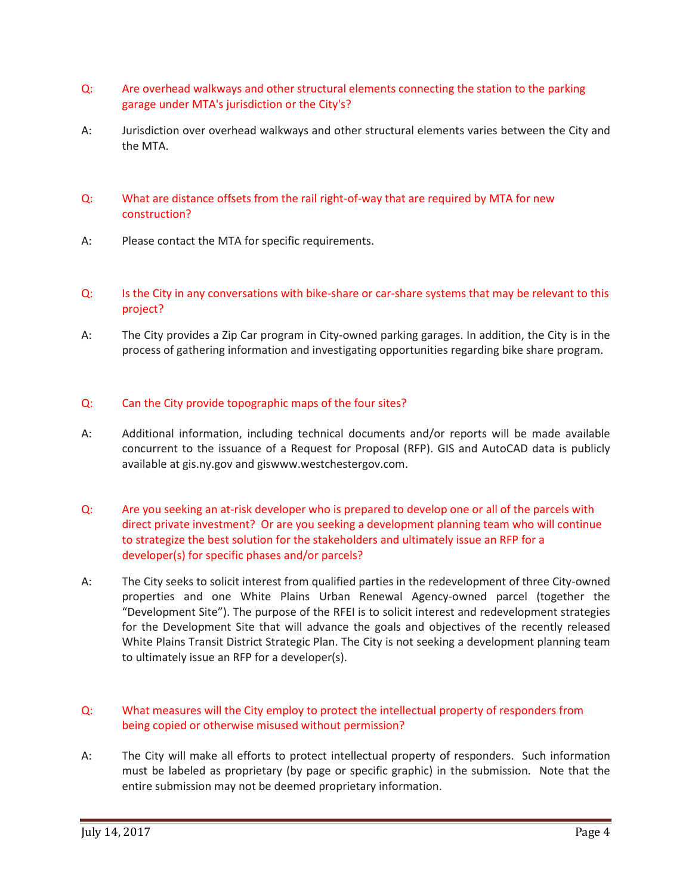- Q: Are overhead walkways and other structural elements connecting the station to the parking garage under MTA's jurisdiction or the City's?
- A: Jurisdiction over overhead walkways and other structural elements varies between the City and the MTA.
- Q: What are distance offsets from the rail right-of-way that are required by MTA for new construction?
- A: Please contact the MTA for specific requirements.
- Q: Is the City in any conversations with bike-share or car-share systems that may be relevant to this project?
- A: The City provides a Zip Car program in City-owned parking garages. In addition, the City is in the process of gathering information and investigating opportunities regarding bike share program.

#### Q: Can the City provide topographic maps of the four sites?

- A: Additional information, including technical documents and/or reports will be made available concurrent to the issuance of a Request for Proposal (RFP). GIS and AutoCAD data is publicly available at gis.ny.gov and giswww.westchestergov.com.
- Q: Are you seeking an at-risk developer who is prepared to develop one or all of the parcels with direct private investment? Or are you seeking a development planning team who will continue to strategize the best solution for the stakeholders and ultimately issue an RFP for a developer(s) for specific phases and/or parcels?
- A: The City seeks to solicit interest from qualified parties in the redevelopment of three City-owned properties and one White Plains Urban Renewal Agency-owned parcel (together the "Development Site"). The purpose of the RFEI is to solicit interest and redevelopment strategies for the Development Site that will advance the goals and objectives of the recently released White Plains Transit District Strategic Plan. The City is not seeking a development planning team to ultimately issue an RFP for a developer(s).

# Q: What measures will the City employ to protect the intellectual property of responders from being copied or otherwise misused without permission?

A: The City will make all efforts to protect intellectual property of responders. Such information must be labeled as proprietary (by page or specific graphic) in the submission. Note that the entire submission may not be deemed proprietary information.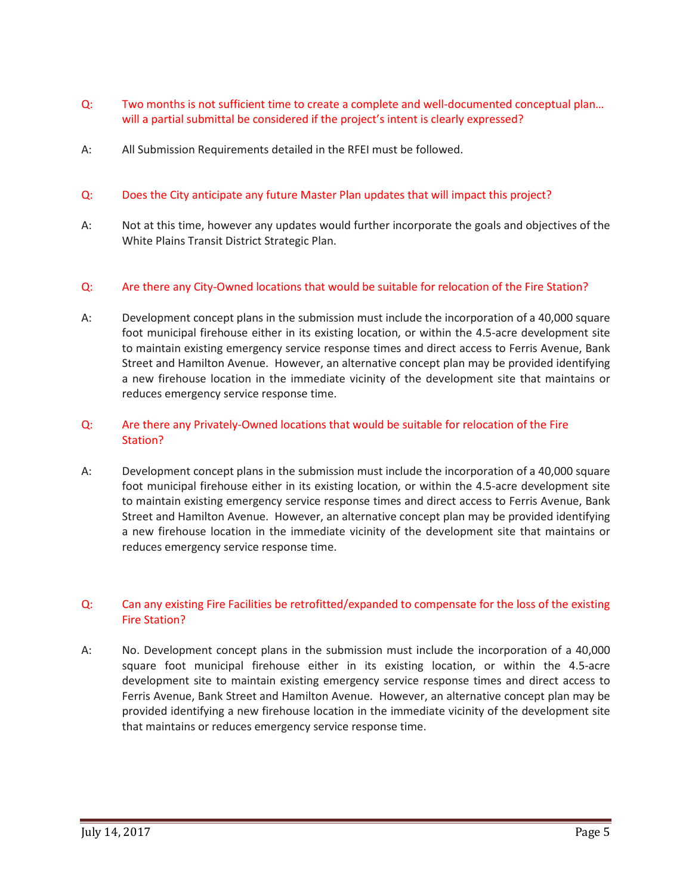- Q: Two months is not sufficient time to create a complete and well-documented conceptual plan… will a partial submittal be considered if the project's intent is clearly expressed?
- A: All Submission Requirements detailed in the RFEI must be followed.

# Q: Does the City anticipate any future Master Plan updates that will impact this project?

A: Not at this time, however any updates would further incorporate the goals and objectives of the White Plains Transit District Strategic Plan.

#### Q: Are there any City-Owned locations that would be suitable for relocation of the Fire Station?

A: Development concept plans in the submission must include the incorporation of a 40,000 square foot municipal firehouse either in its existing location, or within the 4.5-acre development site to maintain existing emergency service response times and direct access to Ferris Avenue, Bank Street and Hamilton Avenue. However, an alternative concept plan may be provided identifying a new firehouse location in the immediate vicinity of the development site that maintains or reduces emergency service response time.

# Q: Are there any Privately-Owned locations that would be suitable for relocation of the Fire Station?

A: Development concept plans in the submission must include the incorporation of a 40,000 square foot municipal firehouse either in its existing location, or within the 4.5-acre development site to maintain existing emergency service response times and direct access to Ferris Avenue, Bank Street and Hamilton Avenue. However, an alternative concept plan may be provided identifying a new firehouse location in the immediate vicinity of the development site that maintains or reduces emergency service response time.

# Q: Can any existing Fire Facilities be retrofitted/expanded to compensate for the loss of the existing Fire Station?

A: No. Development concept plans in the submission must include the incorporation of a 40,000 square foot municipal firehouse either in its existing location, or within the 4.5-acre development site to maintain existing emergency service response times and direct access to Ferris Avenue, Bank Street and Hamilton Avenue. However, an alternative concept plan may be provided identifying a new firehouse location in the immediate vicinity of the development site that maintains or reduces emergency service response time.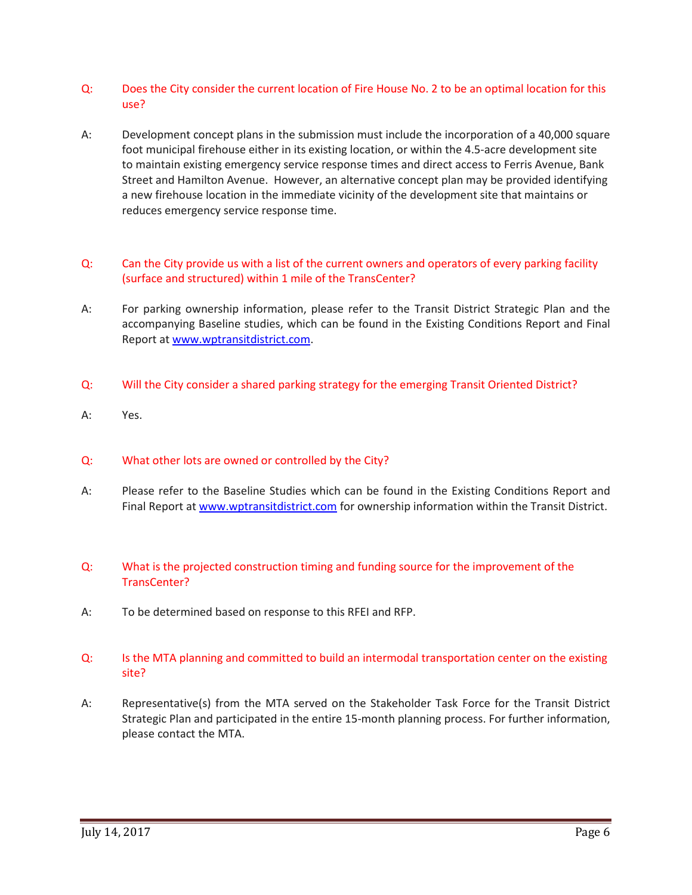- Q: Does the City consider the current location of Fire House No. 2 to be an optimal location for this use?
- A: Development concept plans in the submission must include the incorporation of a 40,000 square foot municipal firehouse either in its existing location, or within the 4.5-acre development site to maintain existing emergency service response times and direct access to Ferris Avenue, Bank Street and Hamilton Avenue. However, an alternative concept plan may be provided identifying a new firehouse location in the immediate vicinity of the development site that maintains or reduces emergency service response time.
- Q: Can the City provide us with a list of the current owners and operators of every parking facility (surface and structured) within 1 mile of the TransCenter?
- A: For parking ownership information, please refer to the Transit District Strategic Plan and the accompanying Baseline studies, which can be found in the Existing Conditions Report and Final Report a[t www.wptransitdistrict.com.](http://www.wptransitdistrict.com/)
- Q: Will the City consider a shared parking strategy for the emerging Transit Oriented District?
- A: Yes.
- Q: What other lots are owned or controlled by the City?
- A: Please refer to the Baseline Studies which can be found in the Existing Conditions Report and Final Report at [www.wptransitdistrict.com](http://www.wptransitdistrict.com/) for ownership information within the Transit District.
- Q: What is the projected construction timing and funding source for the improvement of the TransCenter?
- A: To be determined based on response to this RFEI and RFP.

# Q: Is the MTA planning and committed to build an intermodal transportation center on the existing site?

A: Representative(s) from the MTA served on the Stakeholder Task Force for the Transit District Strategic Plan and participated in the entire 15-month planning process. For further information, please contact the MTA.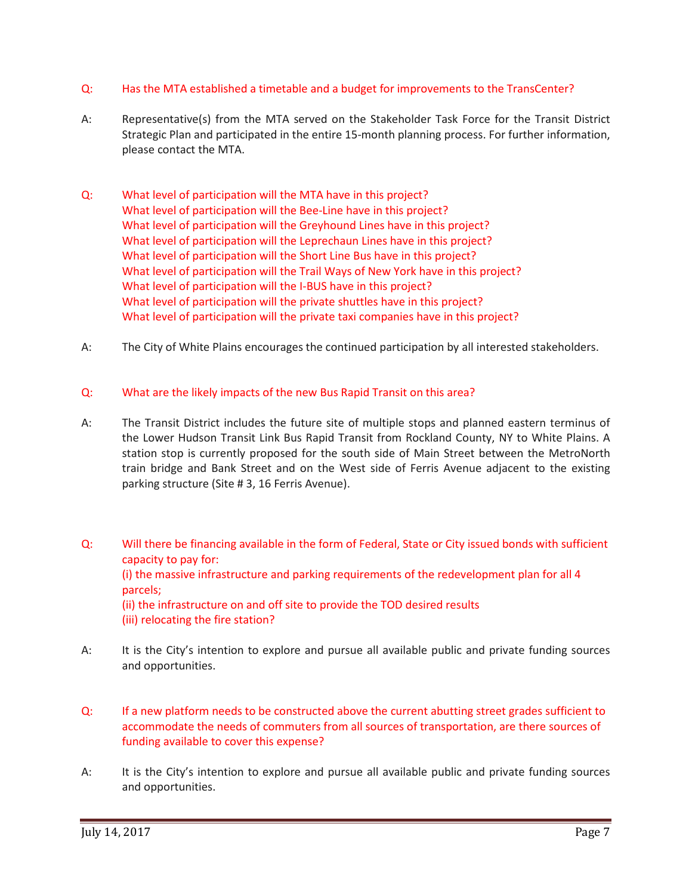#### Q: Has the MTA established a timetable and a budget for improvements to the TransCenter?

- A: Representative(s) from the MTA served on the Stakeholder Task Force for the Transit District Strategic Plan and participated in the entire 15-month planning process. For further information, please contact the MTA.
- Q: What level of participation will the MTA have in this project? What level of participation will the Bee-Line have in this project? What level of participation will the Greyhound Lines have in this project? What level of participation will the Leprechaun Lines have in this project? What level of participation will the Short Line Bus have in this project? What level of participation will the Trail Ways of New York have in this project? What level of participation will the I-BUS have in this project? What level of participation will the private shuttles have in this project? What level of participation will the private taxi companies have in this project?
- A: The City of White Plains encourages the continued participation by all interested stakeholders.

# Q: What are the likely impacts of the new Bus Rapid Transit on this area?

- A: The Transit District includes the future site of multiple stops and planned eastern terminus of the Lower Hudson Transit Link Bus Rapid Transit from Rockland County, NY to White Plains. A station stop is currently proposed for the south side of Main Street between the MetroNorth train bridge and Bank Street and on the West side of Ferris Avenue adjacent to the existing parking structure (Site # 3, 16 Ferris Avenue).
- Q: Will there be financing available in the form of Federal, State or City issued bonds with sufficient capacity to pay for: (i) the massive infrastructure and parking requirements of the redevelopment plan for all 4 parcels; (ii) the infrastructure on and off site to provide the TOD desired results (iii) relocating the fire station?
- A: It is the City's intention to explore and pursue all available public and private funding sources and opportunities.
- Q: If a new platform needs to be constructed above the current abutting street grades sufficient to accommodate the needs of commuters from all sources of transportation, are there sources of funding available to cover this expense?
- A: It is the City's intention to explore and pursue all available public and private funding sources and opportunities.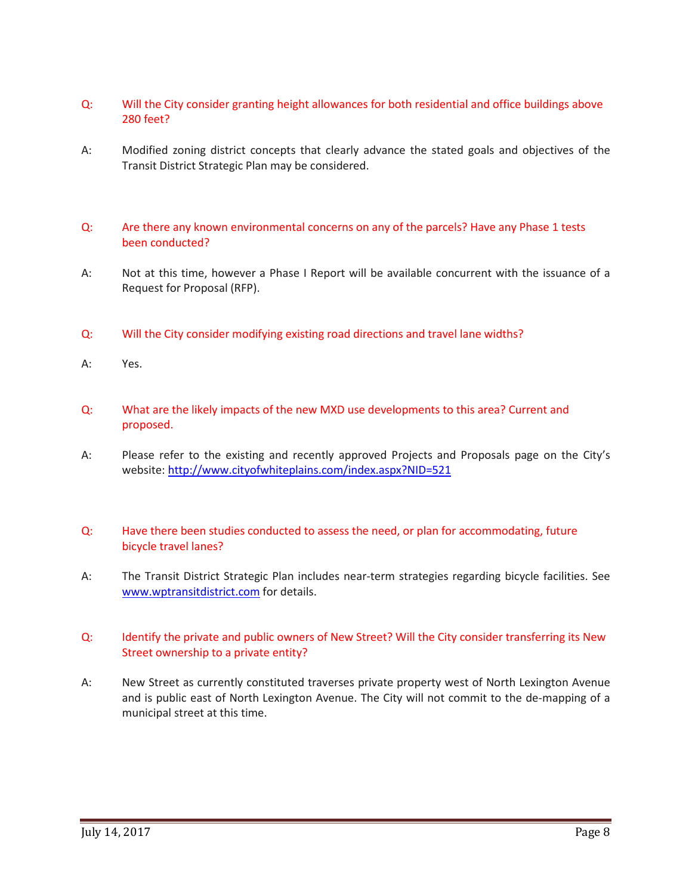- Q: Will the City consider granting height allowances for both residential and office buildings above 280 feet?
- A: Modified zoning district concepts that clearly advance the stated goals and objectives of the Transit District Strategic Plan may be considered.

#### Q: Are there any known environmental concerns on any of the parcels? Have any Phase 1 tests been conducted?

- A: Not at this time, however a Phase I Report will be available concurrent with the issuance of a Request for Proposal (RFP).
- Q: Will the City consider modifying existing road directions and travel lane widths?
- A: Yes.
- Q: What are the likely impacts of the new MXD use developments to this area? Current and proposed.
- A: Please refer to the existing and recently approved Projects and Proposals page on the City's website[: http://www.cityofwhiteplains.com/index.aspx?NID=521](http://www.cityofwhiteplains.com/index.aspx?NID=521)
- Q: Have there been studies conducted to assess the need, or plan for accommodating, future bicycle travel lanes?
- A: The Transit District Strategic Plan includes near-term strategies regarding bicycle facilities. See [www.wptransitdistrict.com](http://www.wptransitdistrict.com/) for details.
- Q: Identify the private and public owners of New Street? Will the City consider transferring its New Street ownership to a private entity?
- A: New Street as currently constituted traverses private property west of North Lexington Avenue and is public east of North Lexington Avenue. The City will not commit to the de-mapping of a municipal street at this time.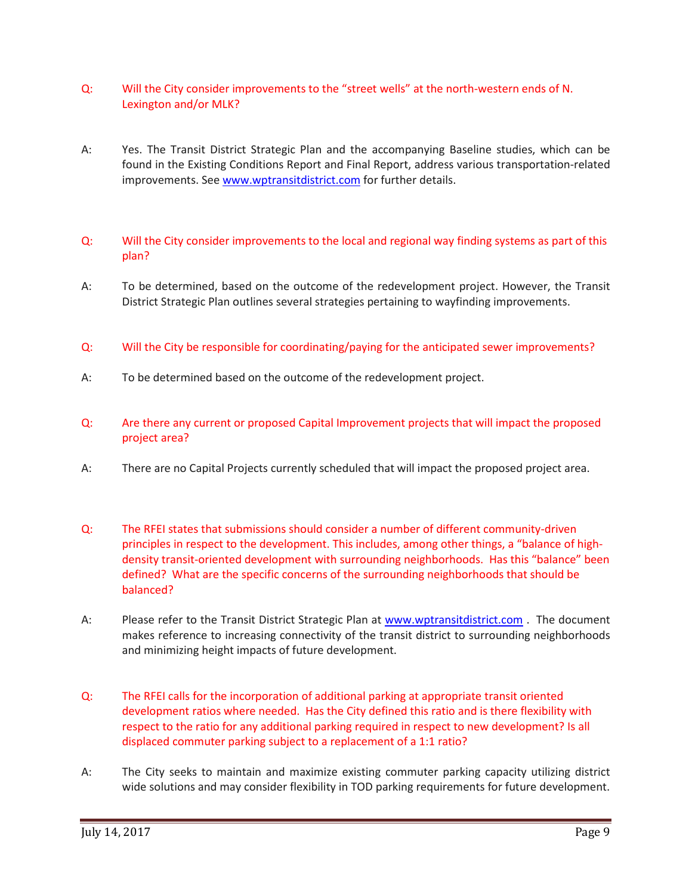- Q: Will the City consider improvements to the "street wells" at the north-western ends of N. Lexington and/or MLK?
- A: Yes. The Transit District Strategic Plan and the accompanying Baseline studies, which can be found in the Existing Conditions Report and Final Report, address various transportation-related improvements. See [www.wptransitdistrict.com](http://www.wptransitdistrict.com/) for further details.
- Q: Will the City consider improvements to the local and regional way finding systems as part of this plan?
- A: To be determined, based on the outcome of the redevelopment project. However, the Transit District Strategic Plan outlines several strategies pertaining to wayfinding improvements.
- Q: Will the City be responsible for coordinating/paying for the anticipated sewer improvements?
- A: To be determined based on the outcome of the redevelopment project.
- Q: Are there any current or proposed Capital Improvement projects that will impact the proposed project area?
- A: There are no Capital Projects currently scheduled that will impact the proposed project area.
- Q: The RFEI states that submissions should consider a number of different community-driven principles in respect to the development. This includes, among other things, a "balance of highdensity transit-oriented development with surrounding neighborhoods. Has this "balance" been defined? What are the specific concerns of the surrounding neighborhoods that should be balanced?
- A: Please refer to the Transit District Strategic Plan at [www.wptransitdistrict.com](http://www.wptransitdistrict.com/) . The document makes reference to increasing connectivity of the transit district to surrounding neighborhoods and minimizing height impacts of future development.
- Q: The RFEI calls for the incorporation of additional parking at appropriate transit oriented development ratios where needed. Has the City defined this ratio and is there flexibility with respect to the ratio for any additional parking required in respect to new development? Is all displaced commuter parking subject to a replacement of a 1:1 ratio?
- A: The City seeks to maintain and maximize existing commuter parking capacity utilizing district wide solutions and may consider flexibility in TOD parking requirements for future development.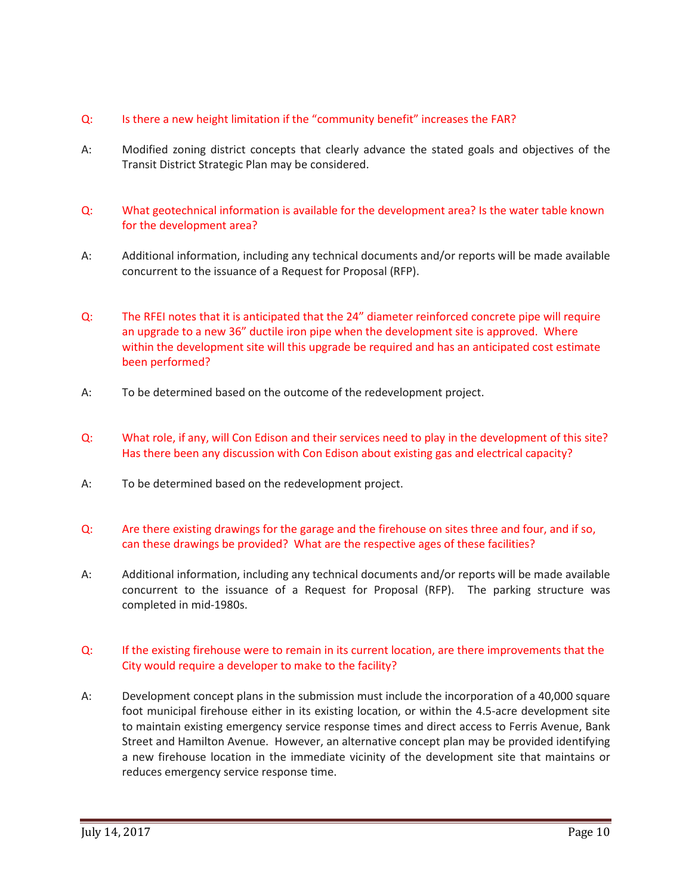# Q: Is there a new height limitation if the "community benefit" increases the FAR?

- A: Modified zoning district concepts that clearly advance the stated goals and objectives of the Transit District Strategic Plan may be considered.
- Q: What geotechnical information is available for the development area? Is the water table known for the development area?
- A: Additional information, including any technical documents and/or reports will be made available concurrent to the issuance of a Request for Proposal (RFP).
- Q: The RFEI notes that it is anticipated that the 24" diameter reinforced concrete pipe will require an upgrade to a new 36" ductile iron pipe when the development site is approved. Where within the development site will this upgrade be required and has an anticipated cost estimate been performed?
- A: To be determined based on the outcome of the redevelopment project.
- Q: What role, if any, will Con Edison and their services need to play in the development of this site? Has there been any discussion with Con Edison about existing gas and electrical capacity?
- A: To be determined based on the redevelopment project.
- Q: Are there existing drawings for the garage and the firehouse on sites three and four, and if so, can these drawings be provided? What are the respective ages of these facilities?
- A: Additional information, including any technical documents and/or reports will be made available concurrent to the issuance of a Request for Proposal (RFP). The parking structure was completed in mid-1980s.
- Q: If the existing firehouse were to remain in its current location, are there improvements that the City would require a developer to make to the facility?
- A: Development concept plans in the submission must include the incorporation of a 40,000 square foot municipal firehouse either in its existing location, or within the 4.5-acre development site to maintain existing emergency service response times and direct access to Ferris Avenue, Bank Street and Hamilton Avenue. However, an alternative concept plan may be provided identifying a new firehouse location in the immediate vicinity of the development site that maintains or reduces emergency service response time.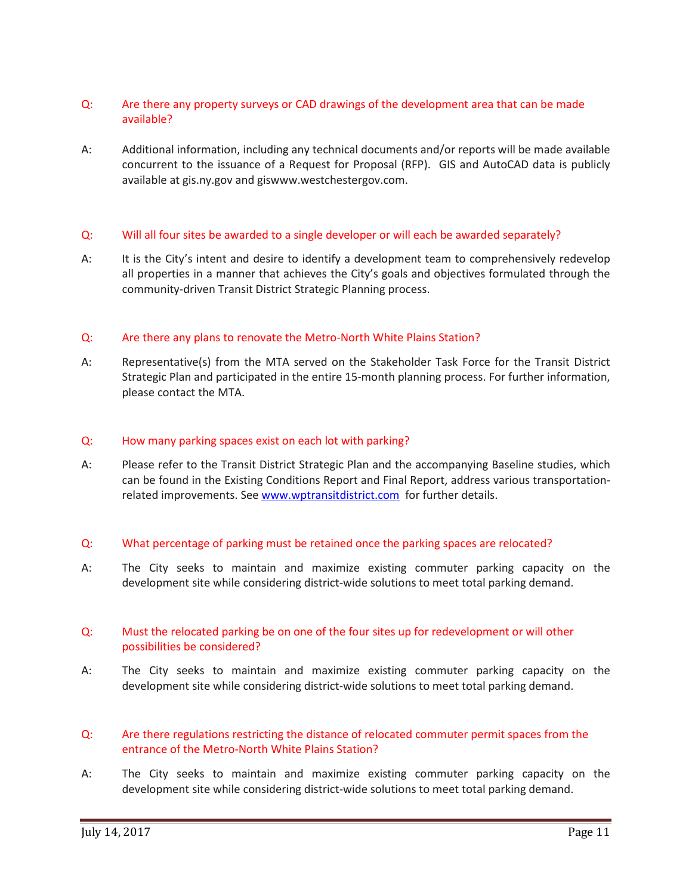# Q: Are there any property surveys or CAD drawings of the development area that can be made available?

A: Additional information, including any technical documents and/or reports will be made available concurrent to the issuance of a Request for Proposal (RFP). GIS and AutoCAD data is publicly available at gis.ny.gov and giswww.westchestergov.com.

#### Q: Will all four sites be awarded to a single developer or will each be awarded separately?

A: It is the City's intent and desire to identify a development team to comprehensively redevelop all properties in a manner that achieves the City's goals and objectives formulated through the community-driven Transit District Strategic Planning process.

#### Q: Are there any plans to renovate the Metro-North White Plains Station?

A: Representative(s) from the MTA served on the Stakeholder Task Force for the Transit District Strategic Plan and participated in the entire 15-month planning process. For further information, please contact the MTA.

#### Q: How many parking spaces exist on each lot with parking?

A: Please refer to the Transit District Strategic Plan and the accompanying Baseline studies, which can be found in the Existing Conditions Report and Final Report, address various transportationrelated improvements. Se[e www.wptransitdistrict.com](http://www.wptransitdistrict.com/) for further details.

#### Q: What percentage of parking must be retained once the parking spaces are relocated?

A: The City seeks to maintain and maximize existing commuter parking capacity on the development site while considering district-wide solutions to meet total parking demand.

#### Q: Must the relocated parking be on one of the four sites up for redevelopment or will other possibilities be considered?

A: The City seeks to maintain and maximize existing commuter parking capacity on the development site while considering district-wide solutions to meet total parking demand.

# Q: Are there regulations restricting the distance of relocated commuter permit spaces from the entrance of the Metro-North White Plains Station?

A: The City seeks to maintain and maximize existing commuter parking capacity on the development site while considering district-wide solutions to meet total parking demand.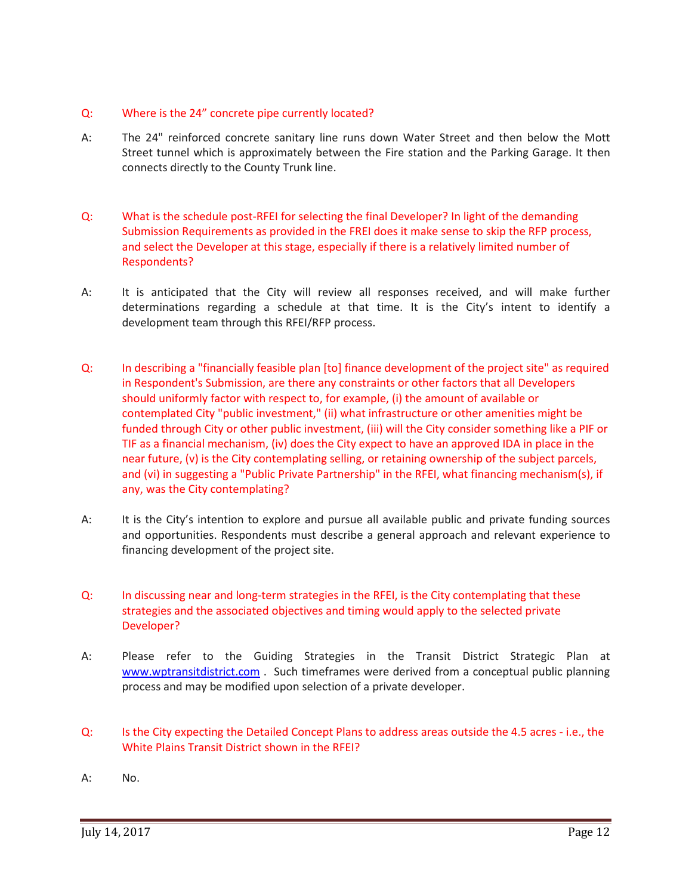#### Q: Where is the 24" concrete pipe currently located?

- A: The 24" reinforced concrete sanitary line runs down Water Street and then below the Mott Street tunnel which is approximately between the Fire station and the Parking Garage. It then connects directly to the County Trunk line.
- Q: What is the schedule post-RFEI for selecting the final Developer? In light of the demanding Submission Requirements as provided in the FREI does it make sense to skip the RFP process, and select the Developer at this stage, especially if there is a relatively limited number of Respondents?
- A: It is anticipated that the City will review all responses received, and will make further determinations regarding a schedule at that time. It is the City's intent to identify a development team through this RFEI/RFP process.
- Q: In describing a "financially feasible plan [to] finance development of the project site" as required in Respondent's Submission, are there any constraints or other factors that all Developers should uniformly factor with respect to, for example, (i) the amount of available or contemplated City "public investment," (ii) what infrastructure or other amenities might be funded through City or other public investment, (iii) will the City consider something like a PIF or TIF as a financial mechanism, (iv) does the City expect to have an approved IDA in place in the near future, (v) is the City contemplating selling, or retaining ownership of the subject parcels, and (vi) in suggesting a "Public Private Partnership" in the RFEI, what financing mechanism(s), if any, was the City contemplating?
- A: It is the City's intention to explore and pursue all available public and private funding sources and opportunities. Respondents must describe a general approach and relevant experience to financing development of the project site.
- Q: In discussing near and long-term strategies in the RFEI, is the City contemplating that these strategies and the associated objectives and timing would apply to the selected private Developer?
- A: Please refer to the Guiding Strategies in the Transit District Strategic Plan at [www.wptransitdistrict.com](http://www.wptransitdistrict.com/) . Such timeframes were derived from a conceptual public planning process and may be modified upon selection of a private developer.
- Q: Is the City expecting the Detailed Concept Plans to address areas outside the 4.5 acres i.e., the White Plains Transit District shown in the RFEI?
- A: No.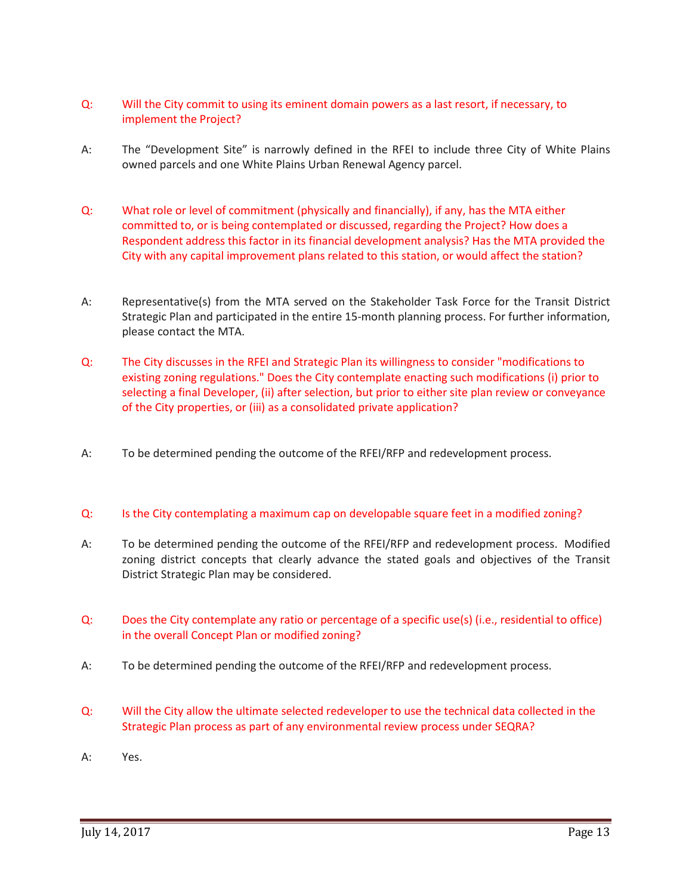- Q: Will the City commit to using its eminent domain powers as a last resort, if necessary, to implement the Project?
- A: The "Development Site" is narrowly defined in the RFEI to include three City of White Plains owned parcels and one White Plains Urban Renewal Agency parcel.
- Q: What role or level of commitment (physically and financially), if any, has the MTA either committed to, or is being contemplated or discussed, regarding the Project? How does a Respondent address this factor in its financial development analysis? Has the MTA provided the City with any capital improvement plans related to this station, or would affect the station?
- A: Representative(s) from the MTA served on the Stakeholder Task Force for the Transit District Strategic Plan and participated in the entire 15-month planning process. For further information, please contact the MTA.
- Q: The City discusses in the RFEI and Strategic Plan its willingness to consider "modifications to existing zoning regulations." Does the City contemplate enacting such modifications (i) prior to selecting a final Developer, (ii) after selection, but prior to either site plan review or conveyance of the City properties, or (iii) as a consolidated private application?
- A: To be determined pending the outcome of the RFEI/RFP and redevelopment process.

#### Q: Is the City contemplating a maximum cap on developable square feet in a modified zoning?

- A: To be determined pending the outcome of the RFEI/RFP and redevelopment process. Modified zoning district concepts that clearly advance the stated goals and objectives of the Transit District Strategic Plan may be considered.
- Q: Does the City contemplate any ratio or percentage of a specific use(s) (i.e., residential to office) in the overall Concept Plan or modified zoning?
- A: To be determined pending the outcome of the RFEI/RFP and redevelopment process.
- Q: Will the City allow the ultimate selected redeveloper to use the technical data collected in the Strategic Plan process as part of any environmental review process under SEQRA?
- A: Yes.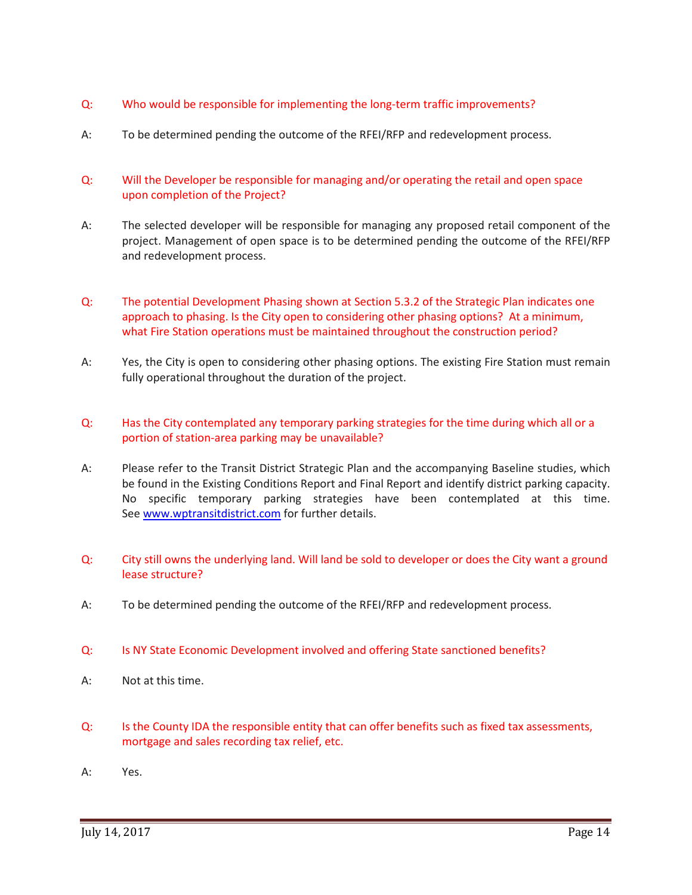- Q: Who would be responsible for implementing the long-term traffic improvements?
- A: To be determined pending the outcome of the RFEI/RFP and redevelopment process.
- Q: Will the Developer be responsible for managing and/or operating the retail and open space upon completion of the Project?
- A: The selected developer will be responsible for managing any proposed retail component of the project. Management of open space is to be determined pending the outcome of the RFEI/RFP and redevelopment process.
- Q: The potential Development Phasing shown at Section 5.3.2 of the Strategic Plan indicates one approach to phasing. Is the City open to considering other phasing options? At a minimum, what Fire Station operations must be maintained throughout the construction period?
- A: Yes, the City is open to considering other phasing options. The existing Fire Station must remain fully operational throughout the duration of the project.
- Q: Has the City contemplated any temporary parking strategies for the time during which all or a portion of station-area parking may be unavailable?
- A: Please refer to the Transit District Strategic Plan and the accompanying Baseline studies, which be found in the Existing Conditions Report and Final Report and identify district parking capacity. No specific temporary parking strategies have been contemplated at this time. Se[e www.wptransitdistrict.com](http://www.wptransitdistrict.com/) for further details.
- Q: City still owns the underlying land. Will land be sold to developer or does the City want a ground lease structure?
- A: To be determined pending the outcome of the RFEI/RFP and redevelopment process.
- Q: Is NY State Economic Development involved and offering State sanctioned benefits?
- A: Not at this time.
- Q: Is the County IDA the responsible entity that can offer benefits such as fixed tax assessments, mortgage and sales recording tax relief, etc.
- A: Yes.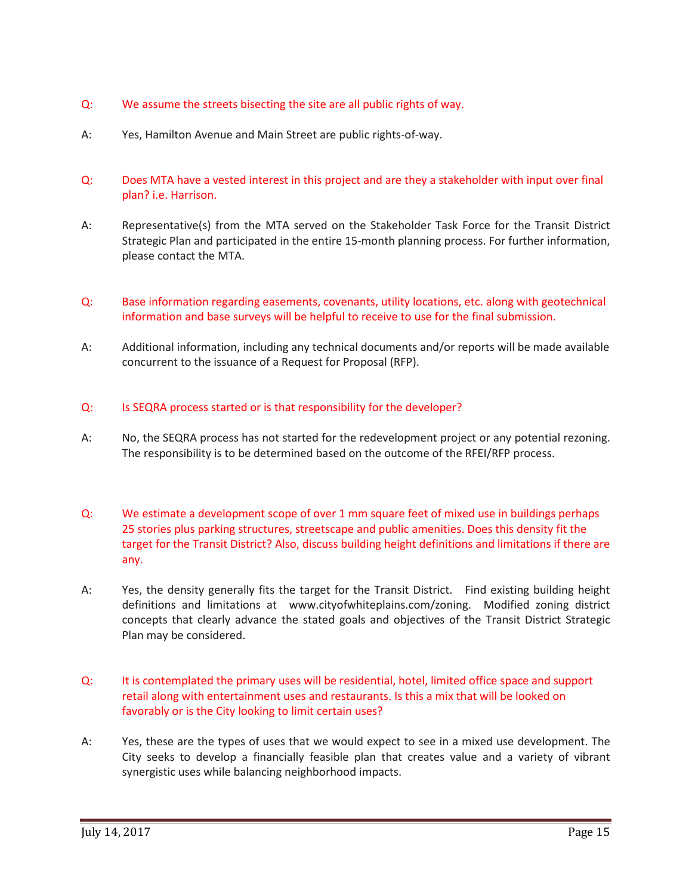# Q: We assume the streets bisecting the site are all public rights of way.

A: Yes, Hamilton Avenue and Main Street are public rights-of-way.

# Q: Does MTA have a vested interest in this project and are they a stakeholder with input over final plan? i.e. Harrison.

- A: Representative(s) from the MTA served on the Stakeholder Task Force for the Transit District Strategic Plan and participated in the entire 15-month planning process. For further information, please contact the MTA.
- Q: Base information regarding easements, covenants, utility locations, etc. along with geotechnical information and base surveys will be helpful to receive to use for the final submission.
- A: Additional information, including any technical documents and/or reports will be made available concurrent to the issuance of a Request for Proposal (RFP).

#### Q: Is SEQRA process started or is that responsibility for the developer?

- A: No, the SEQRA process has not started for the redevelopment project or any potential rezoning. The responsibility is to be determined based on the outcome of the RFEI/RFP process.
- Q: We estimate a development scope of over 1 mm square feet of mixed use in buildings perhaps 25 stories plus parking structures, streetscape and public amenities. Does this density fit the target for the Transit District? Also, discuss building height definitions and limitations if there are any.
- A: Yes, the density generally fits the target for the Transit District. Find existing building height definitions and limitations at www.cityofwhiteplains.com/zoning. Modified zoning district concepts that clearly advance the stated goals and objectives of the Transit District Strategic Plan may be considered.
- Q: It is contemplated the primary uses will be residential, hotel, limited office space and support retail along with entertainment uses and restaurants. Is this a mix that will be looked on favorably or is the City looking to limit certain uses?
- A: Yes, these are the types of uses that we would expect to see in a mixed use development. The City seeks to develop a financially feasible plan that creates value and a variety of vibrant synergistic uses while balancing neighborhood impacts.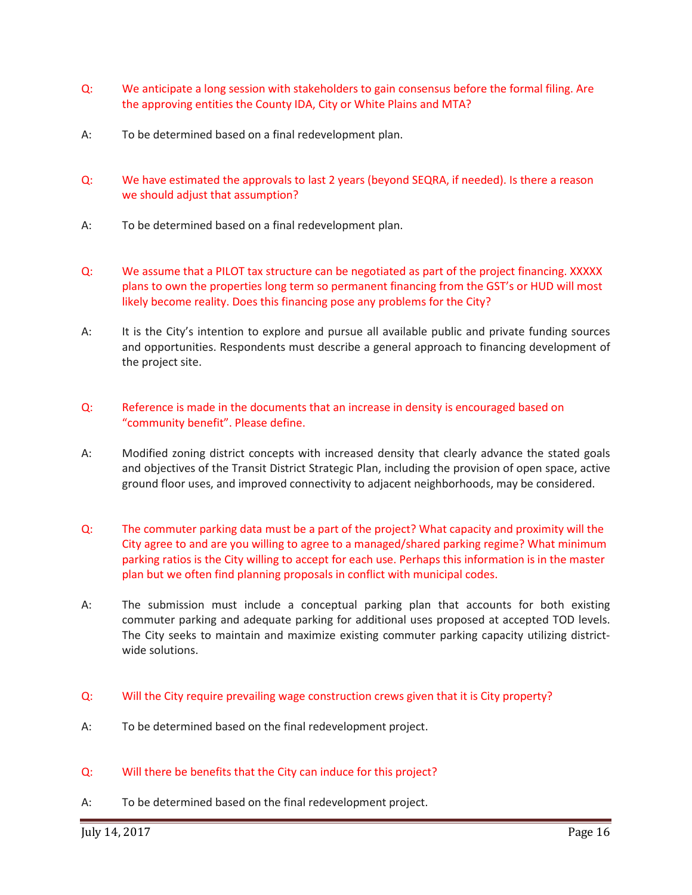- Q: We anticipate a long session with stakeholders to gain consensus before the formal filing. Are the approving entities the County IDA, City or White Plains and MTA?
- A: To be determined based on a final redevelopment plan.
- Q: We have estimated the approvals to last 2 years (beyond SEQRA, if needed). Is there a reason we should adjust that assumption?
- A: To be determined based on a final redevelopment plan.
- Q: We assume that a PILOT tax structure can be negotiated as part of the project financing. XXXXX plans to own the properties long term so permanent financing from the GST's or HUD will most likely become reality. Does this financing pose any problems for the City?
- A: It is the City's intention to explore and pursue all available public and private funding sources and opportunities. Respondents must describe a general approach to financing development of the project site.
- Q: Reference is made in the documents that an increase in density is encouraged based on "community benefit". Please define.
- A: Modified zoning district concepts with increased density that clearly advance the stated goals and objectives of the Transit District Strategic Plan, including the provision of open space, active ground floor uses, and improved connectivity to adjacent neighborhoods, may be considered.
- Q: The commuter parking data must be a part of the project? What capacity and proximity will the City agree to and are you willing to agree to a managed/shared parking regime? What minimum parking ratios is the City willing to accept for each use. Perhaps this information is in the master plan but we often find planning proposals in conflict with municipal codes.
- A: The submission must include a conceptual parking plan that accounts for both existing commuter parking and adequate parking for additional uses proposed at accepted TOD levels. The City seeks to maintain and maximize existing commuter parking capacity utilizing districtwide solutions.
- Q: Will the City require prevailing wage construction crews given that it is City property?
- A: To be determined based on the final redevelopment project.

#### Q: Will there be benefits that the City can induce for this project?

A: To be determined based on the final redevelopment project.